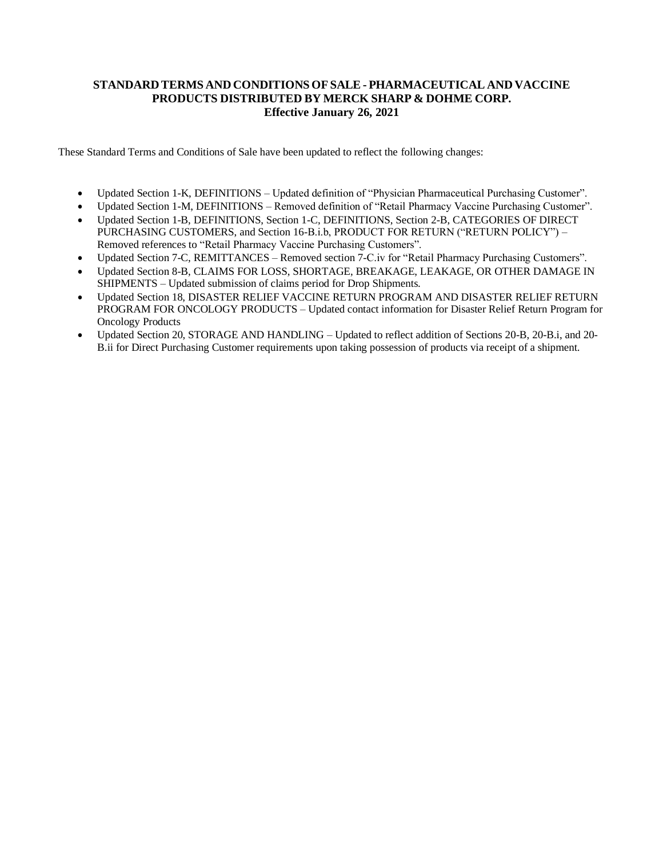# **STANDARD TERMS AND CONDITIONS OFSALE- PHARMACEUTICAL AND VACCINE PRODUCTS DISTRIBUTED BY MERCK SHARP & DOHME CORP. Effective January 26, 2021**

These Standard Terms and Conditions of Sale have been updated to reflect the following changes:

- Updated Section 1-K, DEFINITIONS Updated definition of "Physician Pharmaceutical Purchasing Customer".
- Updated Section 1-M, DEFINITIONS Removed definition of "Retail Pharmacy Vaccine Purchasing Customer".
- Updated Section 1-B, DEFINITIONS, Section 1-C, DEFINITIONS, Section 2-B, CATEGORIES OF DIRECT PURCHASING CUSTOMERS, and Section 16-B.i.b, PRODUCT FOR RETURN ("RETURN POLICY") – Removed references to "Retail Pharmacy Vaccine Purchasing Customers".
- Updated Section 7-C, REMITTANCES Removed section 7-C.iv for "Retail Pharmacy Purchasing Customers".
- Updated Section 8-B, CLAIMS FOR LOSS, SHORTAGE, BREAKAGE, LEAKAGE, OR OTHER DAMAGE IN SHIPMENTS – Updated submission of claims period for Drop Shipments.
- Updated Section 18, DISASTER RELIEF VACCINE RETURN PROGRAM AND DISASTER RELIEF RETURN PROGRAM FOR ONCOLOGY PRODUCTS – Updated contact information for Disaster Relief Return Program for Oncology Products
- Updated Section 20, STORAGE AND HANDLING Updated to reflect addition of Sections 20-B, 20-B.i, and 20-B.ii for Direct Purchasing Customer requirements upon taking possession of products via receipt of a shipment.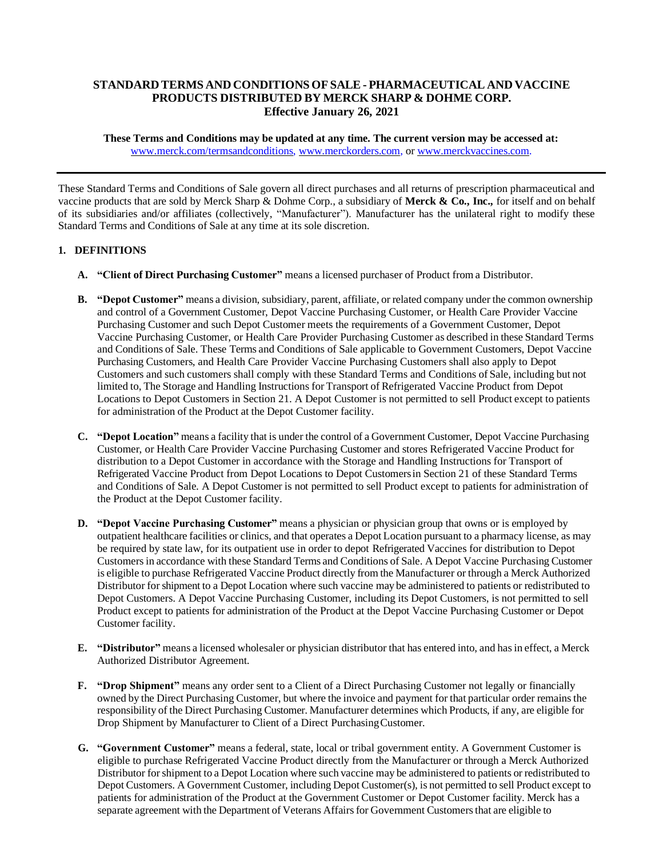# **STANDARD TERMS AND CONDITIONS OFSALE- PHARMACEUTICAL AND VACCINE PRODUCTS DISTRIBUTED BY MERCK SHARP & DOHME CORP. Effective January 26, 2021**

**These Terms and Conditions may be updated at any time. The current version may be accessed at:** [www.merck.com/termsandconditions,](http://www.merck.com/termsandconditions) [www.merckorders.com, o](http://www.merckorders.com/)[r www.merckvaccines.com.](http://www.merckvaccines.com/)

These Standard Terms and Conditions of Sale govern all direct purchases and all returns of prescription pharmaceutical and vaccine products that are sold by Merck Sharp & Dohme Corp., a subsidiary of **Merck & Co., Inc.,** for itself and on behalf of its subsidiaries and/or affiliates (collectively, "Manufacturer"). Manufacturer has the unilateral right to modify these Standard Terms and Conditions of Sale at any time at its sole discretion.

# **1. DEFINITIONS**

- **A. "Client of Direct Purchasing Customer"** means a licensed purchaser of Product from a Distributor.
- **B. "Depot Customer"** means a division, subsidiary, parent, affiliate, or related company under the common ownership and control of a Government Customer, Depot Vaccine Purchasing Customer, or Health Care Provider Vaccine Purchasing Customer and such Depot Customer meets the requirements of a Government Customer, Depot Vaccine Purchasing Customer, or Health Care Provider Purchasing Customer as described in these Standard Terms and Conditions of Sale. These Terms and Conditions of Sale applicable to Government Customers, Depot Vaccine Purchasing Customers, and Health Care Provider Vaccine Purchasing Customers shall also apply to Depot Customers and such customers shall comply with these Standard Terms and Conditions of Sale, including but not limited to, The Storage and Handling Instructions for Transport of Refrigerated Vaccine Product from Depot Locations to Depot Customers in Section 21. A Depot Customer is not permitted to sell Product except to patients for administration of the Product at the Depot Customer facility.
- **C. "Depot Location"** means a facility that is under the control of a Government Customer, Depot Vaccine Purchasing Customer, or Health Care Provider Vaccine Purchasing Customer and stores Refrigerated Vaccine Product for distribution to a Depot Customer in accordance with the Storage and Handling Instructions for Transport of Refrigerated Vaccine Product from Depot Locations to Depot Customersin Section 21 of these Standard Terms and Conditions of Sale. A Depot Customer is not permitted to sell Product except to patients for administration of the Product at the Depot Customer facility.
- **D. "Depot Vaccine Purchasing Customer"** means a physician or physician group that owns or is employed by outpatient healthcare facilities or clinics, and that operates a Depot Location pursuant to a pharmacy license, as may be required by state law, for its outpatient use in order to depot Refrigerated Vaccines for distribution to Depot Customersin accordance with these Standard Terms and Conditions of Sale. A Depot Vaccine Purchasing Customer is eligible to purchase Refrigerated Vaccine Product directly from the Manufacturer or through a Merck Authorized Distributor forshipment to a Depot Location where such vaccine may be administered to patients or redistributed to Depot Customers. A Depot Vaccine Purchasing Customer, including its Depot Customers, is not permitted to sell Product except to patients for administration of the Product at the Depot Vaccine Purchasing Customer or Depot Customer facility.
- **E. "Distributor"** means a licensed wholesaler or physician distributor that has entered into, and hasin effect, a Merck Authorized Distributor Agreement.
- **F. "Drop Shipment"** means any order sent to a Client of a Direct Purchasing Customer not legally or financially owned by the Direct Purchasing Customer, but where the invoice and payment for that particular order remains the responsibility of the Direct Purchasing Customer. Manufacturer determines which Products, if any, are eligible for Drop Shipment by Manufacturer to Client of a Direct PurchasingCustomer.
- **G. "Government Customer"** means a federal, state, local or tribal government entity. A Government Customer is eligible to purchase Refrigerated Vaccine Product directly from the Manufacturer or through a Merck Authorized Distributor forshipment to a Depot Location where such vaccine may be administered to patients or redistributed to Depot Customers. A Government Customer, including Depot Customer(s), is not permitted to sell Product except to patients for administration of the Product at the Government Customer or Depot Customer facility. Merck has a separate agreement with the Department of Veterans Affairs for Government Customers that are eligible to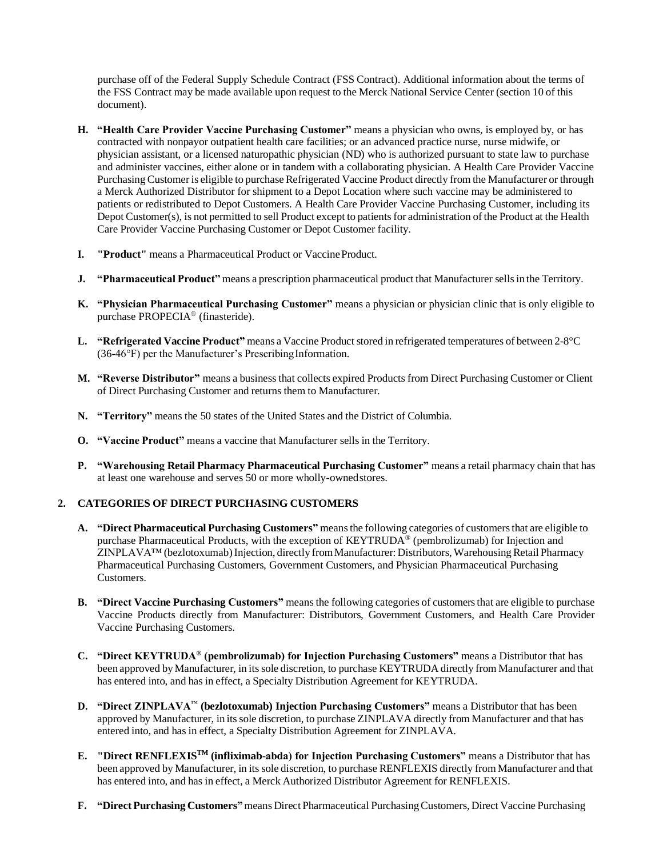purchase off of the Federal Supply Schedule Contract (FSS Contract). Additional information about the terms of the FSS Contract may be made available upon request to the Merck National Service Center (section 10 of this document).

- **H. "Health Care Provider Vaccine Purchasing Customer"** means a physician who owns, is employed by, or has contracted with nonpayor outpatient health care facilities; or an advanced practice nurse, nurse midwife, or physician assistant, or a licensed naturopathic physician (ND) who is authorized pursuant to state law to purchase and administer vaccines, either alone or in tandem with a collaborating physician. A Health Care Provider Vaccine Purchasing Customer is eligible to purchase Refrigerated Vaccine Product directly from the Manufacturer or through a Merck Authorized Distributor for shipment to a Depot Location where such vaccine may be administered to patients or redistributed to Depot Customers. A Health Care Provider Vaccine Purchasing Customer, including its Depot Customer(s), is not permitted to sell Product except to patients for administration of the Product at the Health Care Provider Vaccine Purchasing Customer or Depot Customer facility.
- **I. "Product"** means a Pharmaceutical Product or VaccineProduct.
- **J. "Pharmaceutical Product"** means a prescription pharmaceutical product that Manufacturer sellsin the Territory.
- **K. "Physician Pharmaceutical Purchasing Customer"** means a physician or physician clinic that is only eligible to purchase PROPECIA® (finasteride).
- **L. "Refrigerated Vaccine Product"** means a Vaccine Product stored in refrigerated temperatures of between 2-8°C  $(36-46^{\circ}F)$  per the Manufacturer's Prescribing Information.
- **M. "Reverse Distributor"** means a business that collects expired Products from Direct Purchasing Customer or Client of Direct Purchasing Customer and returns them to Manufacturer.
- **N. "Territory"** means the 50 states of the United States and the District of Columbia.
- **O. "Vaccine Product"** means a vaccine that Manufacturer sells in the Territory.
- **P. "Warehousing Retail Pharmacy Pharmaceutical Purchasing Customer"** means a retail pharmacy chain that has at least one warehouse and serves 50 or more wholly-ownedstores.

## **2. CATEGORIES OF DIRECT PURCHASING CUSTOMERS**

- **A. "Direct Pharmaceutical Purchasing Customers"** meansthe following categories of customersthat are eligible to purchase Pharmaceutical Products, with the exception of KEYTRUDA® (pembrolizumab) for Injection and ZINPLAVA™ (bezlotoxumab)Injection, directly fromManufacturer: Distributors, Warehousing Retail Pharmacy Pharmaceutical Purchasing Customers, Government Customers, and Physician Pharmaceutical Purchasing Customers.
- **B. "Direct Vaccine Purchasing Customers"** meansthe following categories of customersthat are eligible to purchase Vaccine Products directly from Manufacturer: Distributors, Government Customers, and Health Care Provider Vaccine Purchasing Customers.
- **C. "Direct KEYTRUDA® (pembrolizumab) for Injection Purchasing Customers"** means a Distributor that has been approved by Manufacturer, in its sole discretion, to purchase KEYTRUDA directly from Manufacturer and that has entered into, and has in effect, a Specialty Distribution Agreement for KEYTRUDA.
- **D. "Direct ZINPLAVA**™ **(bezlotoxumab) Injection Purchasing Customers"** means a Distributor that has been approved by Manufacturer, in its sole discretion, to purchase ZINPLAVA directly from Manufacturer and that has entered into, and has in effect, a Specialty Distribution Agreement for ZINPLAVA.
- **E. "Direct RENFLEXISTM (infliximab-abda) for Injection Purchasing Customers"** means a Distributor that has been approved by Manufacturer, in its sole discretion, to purchase RENFLEXIS directly from Manufacturer and that has entered into, and has in effect, a Merck Authorized Distributor Agreement for RENFLEXIS.
- **F.** "Direct Purchasing Customers" means Direct Pharmaceutical Purchasing Customers, Direct Vaccine Purchasing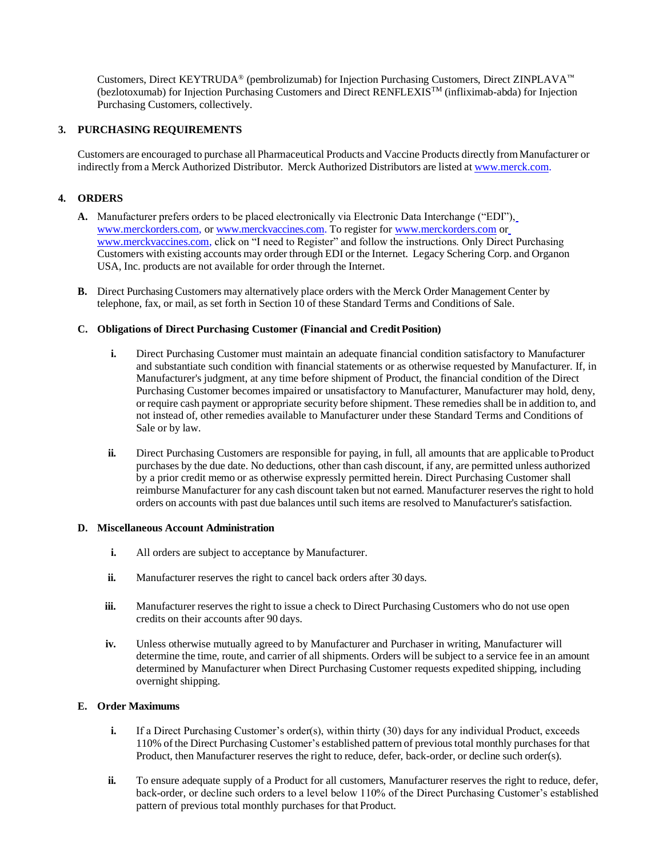Customers, Direct KEYTRUDA® (pembrolizumab) for Injection Purchasing Customers, Direct ZINPLAVA™ (bezlotoxumab) for Injection Purchasing Customers and Direct RENFLEXISTM (infliximab-abda) for Injection Purchasing Customers, collectively.

## **3. PURCHASING REQUIREMENTS**

Customers are encouraged to purchase all Pharmaceutical Products and Vaccine Products directly from Manufacturer or indirectly from a Merck Authorized Distributor. Merck Authorized Distributors are listed at [www.merck.com.](http://www.merck.com/)

# **4. ORDERS**

- **A.** Manufacturer prefers orders to be placed electronically via Electronic Data Interchange ("EDI"), [www.merckorders.com, o](http://www.merckorders.com/)r [www.merckvaccines.com. T](http://www.merckvaccines.com/)o register for [www.merckorders.com](http://www.merckorders.com/) o[r](http://www.merckvaccines.com/) [www.merckvaccines.com, c](http://www.merckvaccines.com/)lick on "I need to Register" and follow the instructions. Only Direct Purchasing Customers with existing accounts may order through EDI or the Internet. Legacy Schering Corp. and Organon USA, Inc. products are not available for order through the Internet.
- **B.** Direct Purchasing Customers may alternatively place orders with the Merck Order Management Center by telephone, fax, or mail, as set forth in Section 10 of these Standard Terms and Conditions of Sale.

#### **C. Obligations of Direct Purchasing Customer (Financial and CreditPosition)**

- **i.** Direct Purchasing Customer must maintain an adequate financial condition satisfactory to Manufacturer and substantiate such condition with financial statements or as otherwise requested by Manufacturer. If, in Manufacturer's judgment, at any time before shipment of Product, the financial condition of the Direct Purchasing Customer becomes impaired or unsatisfactory to Manufacturer, Manufacturer may hold, deny, or require cash payment or appropriate security before shipment. These remedies shall be in addition to, and not instead of, other remedies available to Manufacturer under these Standard Terms and Conditions of Sale or by law.
- **ii.** Direct Purchasing Customers are responsible for paying, in full, all amounts that are applicable to Product purchases by the due date. No deductions, other than cash discount, if any, are permitted unless authorized by a prior credit memo or as otherwise expressly permitted herein. Direct Purchasing Customer shall reimburse Manufacturer for any cash discount taken but not earned. Manufacturer reservesthe right to hold orders on accounts with past due balances until such items are resolved to Manufacturer's satisfaction.

#### **D. Miscellaneous Account Administration**

- **i.** All orders are subject to acceptance by Manufacturer.
- ii. Manufacturer reserves the right to cancel back orders after 30 days.
- **iii.** Manufacturer reserves the right to issue a check to Direct Purchasing Customers who do not use open credits on their accounts after 90 days.
- **iv.** Unless otherwise mutually agreed to by Manufacturer and Purchaser in writing, Manufacturer will determine the time, route, and carrier of all shipments. Orders will be subject to a service fee in an amount determined by Manufacturer when Direct Purchasing Customer requests expedited shipping, including overnight shipping.

#### **E. Order Maximums**

- **i.** If a Direct Purchasing Customer's order(s), within thirty (30) days for any individual Product, exceeds 110% of the Direct Purchasing Customer's established pattern of previous total monthly purchases for that Product, then Manufacturer reserves the right to reduce, defer, back-order, or decline such order(s).
- **ii.** To ensure adequate supply of a Product for all customers, Manufacturer reserves the right to reduce, defer, back-order, or decline such orders to a level below 110% of the Direct Purchasing Customer's established pattern of previous total monthly purchases for that Product.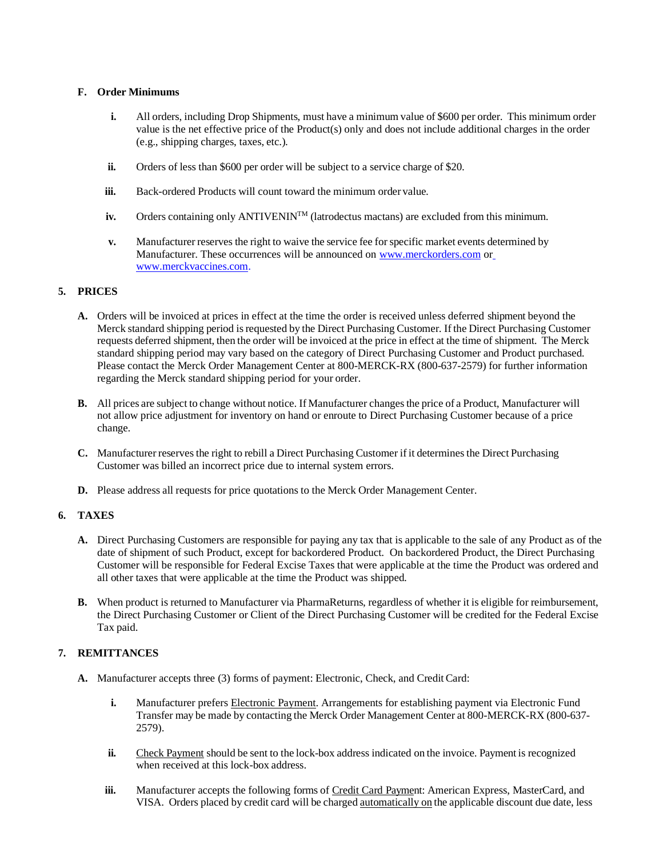# **F. Order Minimums**

- **i.** All orders, including Drop Shipments, must have a minimum value of \$600 per order. This minimum order value is the net effective price of the Product(s) only and does not include additional charges in the order (e.g., shipping charges, taxes, etc.).
- **ii.** Orders of less than \$600 per order will be subject to a service charge of \$20.
- **iii.** Back-ordered Products will count toward the minimum order value.
- **iv.** Orders containing only ANTIVENIN<sup>TM</sup> (latrodectus mactans) are excluded from this minimum.
- **v.** Manufacturer reserves the right to waive the service fee for specific market events determined by Manufacturer. These occurrences will be announced on [www.merckorders.com](http://www.merckorders.com/) o[r](http://www.merckvaccines.com/) [www.merckvaccines.com.](http://www.merckvaccines.com/)

# **5. PRICES**

- **A.** Orders will be invoiced at prices in effect at the time the order is received unless deferred shipment beyond the Merck standard shipping period is requested by the Direct Purchasing Customer. If the Direct Purchasing Customer requests deferred shipment, then the order will be invoiced at the price in effect at the time of shipment. The Merck standard shipping period may vary based on the category of Direct Purchasing Customer and Product purchased. Please contact the Merck Order Management Center at 800-MERCK-RX (800-637-2579) for further information regarding the Merck standard shipping period for your order.
- **B.** All prices are subject to change without notice. If Manufacturer changes the price of a Product, Manufacturer will not allow price adjustment for inventory on hand or enroute to Direct Purchasing Customer because of a price change.
- **C.** Manufacturer reservesthe right to rebill a Direct Purchasing Customer if it determinesthe Direct Purchasing Customer was billed an incorrect price due to internal system errors.
- **D.** Please address all requests for price quotations to the Merck Order Management Center.

## **6. TAXES**

- **A.** Direct Purchasing Customers are responsible for paying any tax that is applicable to the sale of any Product as of the date of shipment of such Product, except for backordered Product. On backordered Product, the Direct Purchasing Customer will be responsible for Federal Excise Taxes that were applicable at the time the Product was ordered and all other taxes that were applicable at the time the Product was shipped.
- **B.** When product is returned to Manufacturer via PharmaReturns, regardless of whether it is eligible for reimbursement, the Direct Purchasing Customer or Client of the Direct Purchasing Customer will be credited for the Federal Excise Tax paid.

# **7. REMITTANCES**

- **A.** Manufacturer accepts three (3) forms of payment: Electronic, Check, and Credit Card:
	- **i.** Manufacturer prefers Electronic Payment. Arrangements for establishing payment via Electronic Fund Transfer may be made by contacting the Merck Order Management Center at 800-MERCK-RX (800-637- 2579).
	- **ii.** Check Payment should be sent to the lock-box address indicated on the invoice. Payment is recognized when received at this lock-box address.
	- **iii.** Manufacturer accepts the following forms of Credit Card Payment: American Express, MasterCard, and VISA. Orders placed by credit card will be charged automatically on the applicable discount due date, less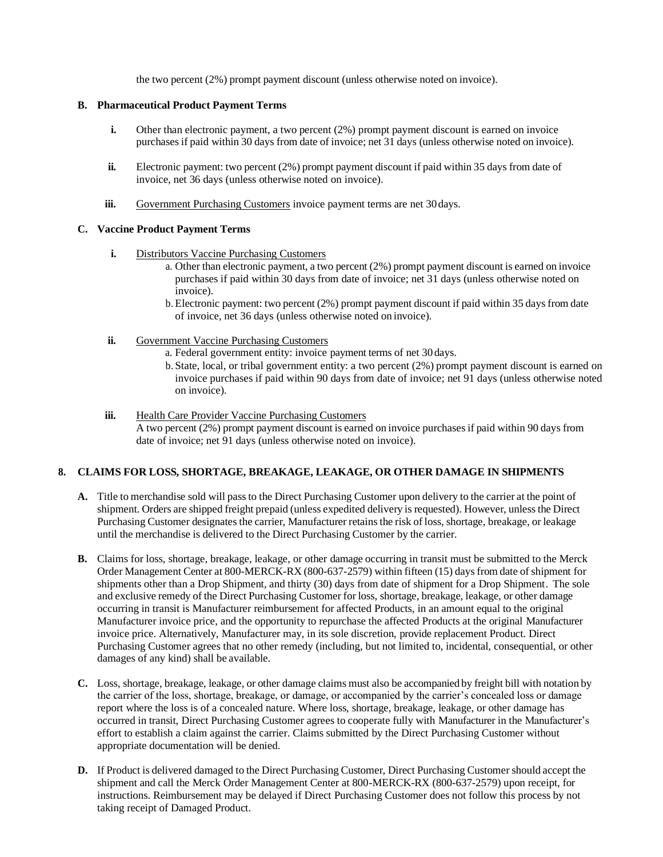the two percent (2%) prompt payment discount (unless otherwise noted on invoice).

## **B. Pharmaceutical Product Payment Terms**

- **i.** Other than electronic payment, a two percent (2%) prompt payment discount is earned on invoice purchasesif paid within 30 days from date of invoice; net 31 days (unless otherwise noted on invoice).
- **ii.** Electronic payment: two percent (2%) prompt payment discount if paid within 35 days from date of invoice, net 36 days (unless otherwise noted on invoice).
- **iii.** Government Purchasing Customers invoice payment terms are net 30 days.

## **C. Vaccine Product Payment Terms**

- **i.** Distributors Vaccine Purchasing Customers
	- a. Other than electronic payment, a two percent (2%) prompt payment discount is earned on invoice purchases if paid within 30 days from date of invoice; net 31 days (unless otherwise noted on invoice).
	- b. Electronic payment: two percent (2%) prompt payment discount if paid within 35 days from date of invoice, net 36 days (unless otherwise noted on invoice).
- **ii.** Government Vaccine Purchasing Customers
	- a. Federal government entity: invoice payment terms of net 30 days.
	- b. State, local, or tribal government entity: a two percent (2%) prompt payment discount is earned on invoice purchases if paid within 90 days from date of invoice; net 91 days (unless otherwise noted on invoice).
- **iii.** Health Care Provider Vaccine Purchasing Customers

A two percent (2%) prompt payment discount is earned on invoice purchasesif paid within 90 days from date of invoice; net 91 days (unless otherwise noted on invoice).

## **8. CLAIMS FOR LOSS, SHORTAGE, BREAKAGE, LEAKAGE, OR OTHER DAMAGE IN SHIPMENTS**

- **A.** Title to merchandise sold will passto the Direct Purchasing Customer upon delivery to the carrier at the point of shipment. Orders are shipped freight prepaid (unless expedited delivery is requested). However, unlessthe Direct Purchasing Customer designates the carrier, Manufacturer retains the risk of loss, shortage, breakage, or leakage until the merchandise is delivered to the Direct Purchasing Customer by the carrier.
- **B.** Claims for loss, shortage, breakage, leakage, or other damage occurring in transit must be submitted to the Merck Order Management Center at 800-MERCK-RX (800-637-2579) within fifteen (15) days from date of shipment for shipments other than a Drop Shipment, and thirty (30) days from date of shipment for a Drop Shipment. The sole and exclusive remedy of the Direct Purchasing Customer for loss, shortage, breakage, leakage, or other damage occurring in transit is Manufacturer reimbursement for affected Products, in an amount equal to the original Manufacturer invoice price, and the opportunity to repurchase the affected Products at the original Manufacturer invoice price. Alternatively, Manufacturer may, in its sole discretion, provide replacement Product. Direct Purchasing Customer agrees that no other remedy (including, but not limited to, incidental, consequential, or other damages of any kind) shall be available.
- **C.** Loss, shortage, breakage, leakage, or other damage claims must also be accompanied by freight bill with notation by the carrier of the loss, shortage, breakage, or damage, or accompanied by the carrier's concealed loss or damage report where the loss is of a concealed nature. Where loss, shortage, breakage, leakage, or other damage has occurred in transit, Direct Purchasing Customer agrees to cooperate fully with Manufacturer in the Manufacturer's effort to establish a claim against the carrier. Claims submitted by the Direct Purchasing Customer without appropriate documentation will be denied.
- **D.** If Product is delivered damaged to the Direct Purchasing Customer, Direct Purchasing Customer should accept the shipment and call the Merck Order Management Center at 800-MERCK-RX (800-637-2579) upon receipt, for instructions. Reimbursement may be delayed if Direct Purchasing Customer does not follow this process by not taking receipt of Damaged Product.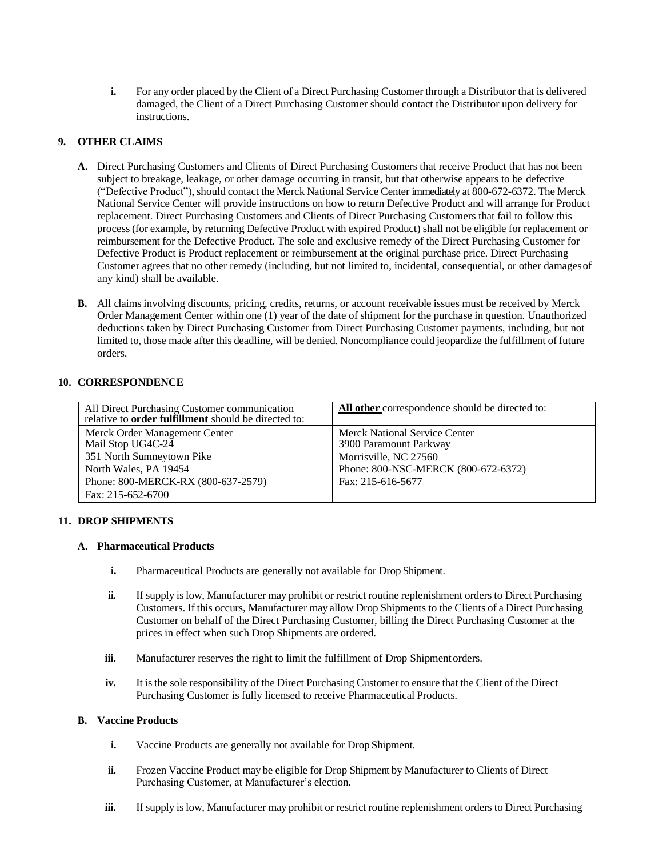**i.** For any order placed by the Client of a Direct Purchasing Customer through a Distributor that is delivered damaged, the Client of a Direct Purchasing Customer should contact the Distributor upon delivery for instructions.

# **9. OTHER CLAIMS**

- **A.** Direct Purchasing Customers and Clients of Direct Purchasing Customers that receive Product that has not been subject to breakage, leakage, or other damage occurring in transit, but that otherwise appears to be defective ("Defective Product"), should contact the Merck National Service Center immediately at 800-672-6372. The Merck National Service Center will provide instructions on how to return Defective Product and will arrange for Product replacement. Direct Purchasing Customers and Clients of Direct Purchasing Customers that fail to follow this process(for example, by returning Defective Product with expired Product) shall not be eligible for replacement or reimbursement for the Defective Product. The sole and exclusive remedy of the Direct Purchasing Customer for Defective Product is Product replacement or reimbursement at the original purchase price. Direct Purchasing Customer agrees that no other remedy (including, but not limited to, incidental, consequential, or other damagesof any kind) shall be available.
- **B.** All claims involving discounts, pricing, credits, returns, or account receivable issues must be received by Merck Order Management Center within one (1) year of the date of shipment for the purchase in question. Unauthorized deductions taken by Direct Purchasing Customer from Direct Purchasing Customer payments, including, but not limited to, those made after this deadline, will be denied. Noncompliance could jeopardize the fulfillment of future orders.

# **10. CORRESPONDENCE**

| All Direct Purchasing Customer communication<br>relative to <b>order fulfillment</b> should be directed to: | All other correspondence should be directed to:                |
|-------------------------------------------------------------------------------------------------------------|----------------------------------------------------------------|
| Merck Order Management Center<br>Mail Stop UG4C-24                                                          | <b>Merck National Service Center</b><br>3900 Paramount Parkway |
| 351 North Sumneytown Pike                                                                                   | Morrisville, NC 27560                                          |
| North Wales, PA 19454                                                                                       | Phone: 800-NSC-MERCK (800-672-6372)                            |
| Phone: 800-MERCK-RX (800-637-2579)                                                                          | Fax: 215-616-5677                                              |
| Fax: 215-652-6700                                                                                           |                                                                |

## **11. DROP SHIPMENTS**

## **A. Pharmaceutical Products**

- **i.** Pharmaceutical Products are generally not available for Drop Shipment.
- **ii.** If supply is low, Manufacturer may prohibit or restrict routine replenishment orders to Direct Purchasing Customers. If this occurs, Manufacturer may allow Drop Shipments to the Clients of a Direct Purchasing Customer on behalf of the Direct Purchasing Customer, billing the Direct Purchasing Customer at the prices in effect when such Drop Shipments are ordered.
- **iii.** Manufacturer reserves the right to limit the fulfillment of Drop Shipmentorders.
- **iv.** It isthe sole responsibility of the Direct Purchasing Customer to ensure that the Client of the Direct Purchasing Customer is fully licensed to receive Pharmaceutical Products.

## **B. Vaccine Products**

- **i.** Vaccine Products are generally not available for Drop Shipment.
- **ii.** Frozen Vaccine Product may be eligible for Drop Shipment by Manufacturer to Clients of Direct Purchasing Customer, at Manufacturer's election.
- **iii.** If supply is low, Manufacturer may prohibit or restrict routine replenishment orders to Direct Purchasing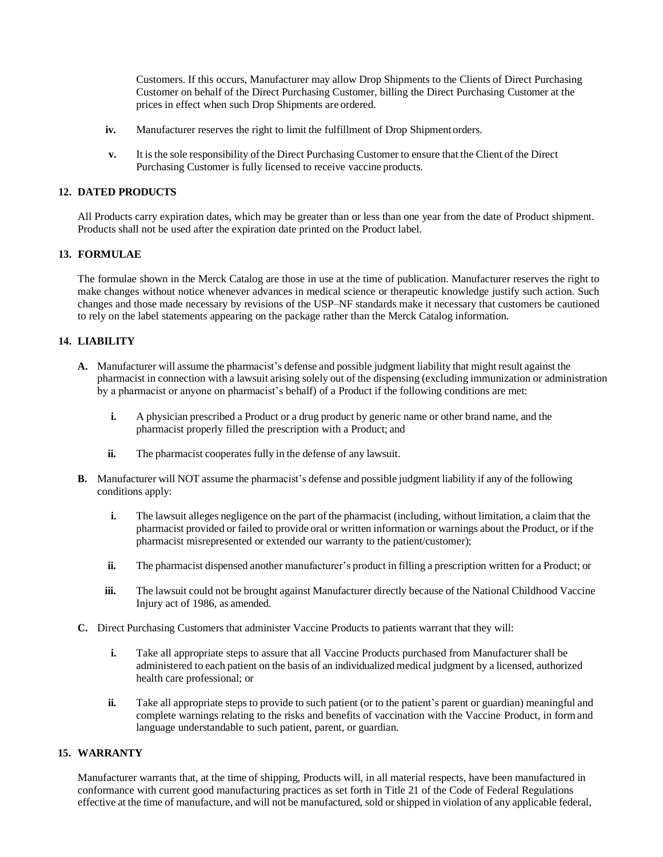Customers. If this occurs, Manufacturer may allow Drop Shipments to the Clients of Direct Purchasing Customer on behalf of the Direct Purchasing Customer, billing the Direct Purchasing Customer at the prices in effect when such Drop Shipments are ordered.

- **iv.** Manufacturer reserves the right to limit the fulfillment of Drop Shipment orders.
- **v.** It isthe sole responsibility of the Direct Purchasing Customer to ensure that the Client of the Direct Purchasing Customer is fully licensed to receive vaccine products.

## **12. DATED PRODUCTS**

All Products carry expiration dates, which may be greater than or less than one year from the date of Product shipment. Products shall not be used after the expiration date printed on the Product label.

#### **13. FORMULAE**

The formulae shown in the Merck Catalog are those in use at the time of publication. Manufacturer reserves the right to make changes without notice whenever advances in medical science or therapeutic knowledge justify such action. Such changes and those made necessary by revisions of the USP–NF standards make it necessary that customers be cautioned to rely on the label statements appearing on the package rather than the Merck Catalog information.

### **14. LIABILITY**

- **A.** Manufacturer will assume the pharmacist's defense and possible judgment liability that might result against the pharmacist in connection with a lawsuit arising solely out of the dispensing (excluding immunization or administration by a pharmacist or anyone on pharmacist's behalf) of a Product if the following conditions are met:
	- **i.** A physician prescribed a Product or a drug product by generic name or other brand name, and the pharmacist properly filled the prescription with a Product; and
	- **ii.** The pharmacist cooperates fully in the defense of any lawsuit.
- **B.** Manufacturer will NOT assume the pharmacist's defense and possible judgment liability if any of the following conditions apply:
	- **i.** The lawsuit alleges negligence on the part of the pharmacist (including, without limitation, a claim that the pharmacist provided or failed to provide oral or written information or warnings about the Product, or if the pharmacist misrepresented or extended our warranty to the patient/customer);
	- **ii.** The pharmacist dispensed another manufacturer's product in filling a prescription written for a Product; or
	- **iii.** The lawsuit could not be brought against Manufacturer directly because of the National Childhood Vaccine Injury act of 1986, as amended.
- **C.** Direct Purchasing Customers that administer Vaccine Products to patients warrant that they will:
	- **i.** Take all appropriate steps to assure that all Vaccine Products purchased from Manufacturer shall be administered to each patient on the basis of an individualized medical judgment by a licensed, authorized health care professional; or
	- **ii.** Take all appropriate steps to provide to such patient (or to the patient's parent or guardian) meaningful and complete warnings relating to the risks and benefits of vaccination with the Vaccine Product, in formand language understandable to such patient, parent, or guardian.

## **15. WARRANTY**

Manufacturer warrants that, at the time of shipping, Products will, in all material respects, have been manufactured in conformance with current good manufacturing practices as set forth in Title 21 of the Code of Federal Regulations effective at the time of manufacture, and will not be manufactured, sold orshipped in violation of any applicable federal,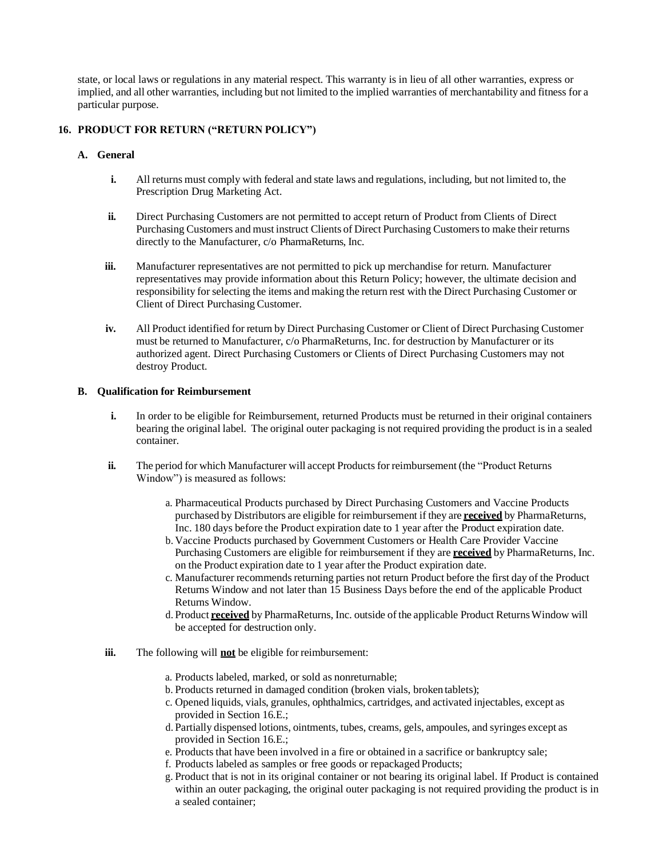state, or local laws or regulations in any material respect. This warranty is in lieu of all other warranties, express or implied, and all other warranties, including but not limited to the implied warranties of merchantability and fitness for a particular purpose.

## **16. PRODUCT FOR RETURN ("RETURN POLICY")**

#### **A. General**

- **i.** All returns must comply with federal and state laws and regulations, including, but not limited to, the Prescription Drug Marketing Act.
- **ii.** Direct Purchasing Customers are not permitted to accept return of Product from Clients of Direct Purchasing Customers and must instruct Clients of Direct Purchasing Customersto make their returns directly to the Manufacturer, c/o PharmaReturns, Inc.
- **iii.** Manufacturer representatives are not permitted to pick up merchandise for return. Manufacturer representatives may provide information about this Return Policy; however, the ultimate decision and responsibility forselecting the items and making the return rest with the Direct Purchasing Customer or Client of Direct Purchasing Customer.
- **iv.** All Product identified for return by Direct Purchasing Customer or Client of Direct Purchasing Customer must be returned to Manufacturer, c/o PharmaReturns, Inc. for destruction by Manufacturer or its authorized agent. Direct Purchasing Customers or Clients of Direct Purchasing Customers may not destroy Product.

#### **B. Qualification for Reimbursement**

- **i.** In order to be eligible for Reimbursement, returned Products must be returned in their original containers bearing the original label. The original outer packaging is not required providing the product is in a sealed container.
- **ii.** The period for which Manufacturer will accept Products for reimbursement (the "Product Returns") Window") is measured as follows:
	- a. Pharmaceutical Products purchased by Direct Purchasing Customers and Vaccine Products purchased by Distributors are eligible for reimbursement if they are **received** by PharmaReturns, Inc. 180 days before the Product expiration date to 1 year after the Product expiration date.
	- b. Vaccine Products purchased by Government Customers or Health Care Provider Vaccine Purchasing Customers are eligible for reimbursement if they are **received** by PharmaReturns, Inc. on the Product expiration date to 1 year after the Product expiration date.
	- c. Manufacturer recommends returning parties not return Product before the first day of the Product Returns Window and not later than 15 Business Days before the end of the applicable Product Returns Window.
	- d. Product **received** by PharmaReturns, Inc. outside of the applicable Product ReturnsWindow will be accepted for destruction only.
- **iii.** The following will **not** be eligible for reimbursement:
	- a. Products labeled, marked, or sold as nonreturnable;
	- b. Products returned in damaged condition (broken vials, broken tablets);
	- c. Opened liquids, vials, granules, ophthalmics, cartridges, and activated injectables, except as provided in Section 16.E.;
	- d. Partially dispensed lotions, ointments, tubes, creams, gels, ampoules, and syringes except as provided in Section 16.E.;
	- e. Products that have been involved in a fire or obtained in a sacrifice or bankruptcy sale;
	- f. Products labeled as samples or free goods or repackaged Products;
	- g. Product that is not in its original container or not bearing its original label. If Product is contained within an outer packaging, the original outer packaging is not required providing the product is in a sealed container;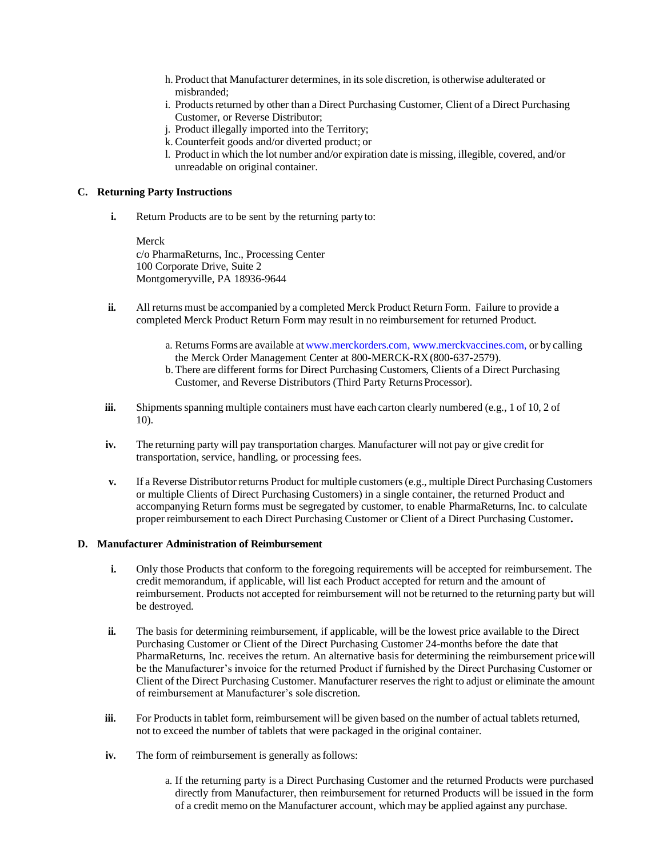- h. Product that Manufacturer determines, in itssole discretion, is otherwise adulterated or misbranded;
- i. Products returned by other than a Direct Purchasing Customer, Client of a Direct Purchasing Customer, or Reverse Distributor;
- j. Product illegally imported into the Territory;
- k. Counterfeit goods and/or diverted product; or
- l. Product in which the lot number and/or expiration date is missing, illegible, covered, and/or unreadable on original container.

### **C. Returning Party Instructions**

**i.** Return Products are to be sent by the returning party to:

Merck c/o PharmaReturns, Inc., Processing Center 100 Corporate Drive, Suite 2 Montgomeryville, PA 18936-9644

- **ii.** All returns must be accompanied by a completed Merck Product Return Form. Failure to provide a completed Merck Product Return Form may result in no reimbursement for returned Product.
	- a. Returns Forms are available at [www.merckorders.com,](http://www.merckorders.com/) [www.merckvaccines.com,](http://www.merckvaccines.com/) or by calling the Merck Order Management Center at 800-MERCK-RX(800-637-2579).
	- b. There are different forms for Direct Purchasing Customers, Clients of a Direct Purchasing Customer, and Reverse Distributors (Third Party Returns Processor).
- **iii.** Shipments spanning multiple containers must have each carton clearly numbered (e.g., 1 of 10, 2 of 10).
- **iv.** The returning party will pay transportation charges. Manufacturer will not pay or give credit for transportation, service, handling, or processing fees.
- **v.** If a Reverse Distributor returns Product for multiple customers (e.g., multiple Direct Purchasing Customers or multiple Clients of Direct Purchasing Customers) in a single container, the returned Product and accompanying Return forms must be segregated by customer, to enable PharmaReturns, Inc. to calculate proper reimbursement to each Direct Purchasing Customer or Client of a Direct Purchasing Customer**.**

#### **D. Manufacturer Administration of Reimbursement**

- **i.** Only those Products that conform to the foregoing requirements will be accepted for reimbursement. The credit memorandum, if applicable, will list each Product accepted for return and the amount of reimbursement. Products not accepted for reimbursement will not be returned to the returning party but will be destroyed.
- **ii.** The basis for determining reimbursement, if applicable, will be the lowest price available to the Direct Purchasing Customer or Client of the Direct Purchasing Customer 24-months before the date that PharmaReturns, Inc. receives the return. An alternative basis for determining the reimbursement pricewill be the Manufacturer's invoice for the returned Product if furnished by the Direct Purchasing Customer or Client of the Direct Purchasing Customer. Manufacturer reserves the right to adjust or eliminate the amount of reimbursement at Manufacturer's sole discretion.
- **iii.** For Products in tablet form, reimbursement will be given based on the number of actual tablets returned, not to exceed the number of tablets that were packaged in the original container.
- **iv.** The form of reimbursement is generally as follows:
	- a. If the returning party is a Direct Purchasing Customer and the returned Products were purchased directly from Manufacturer, then reimbursement for returned Products will be issued in the form of a credit memo on the Manufacturer account, which may be applied against any purchase.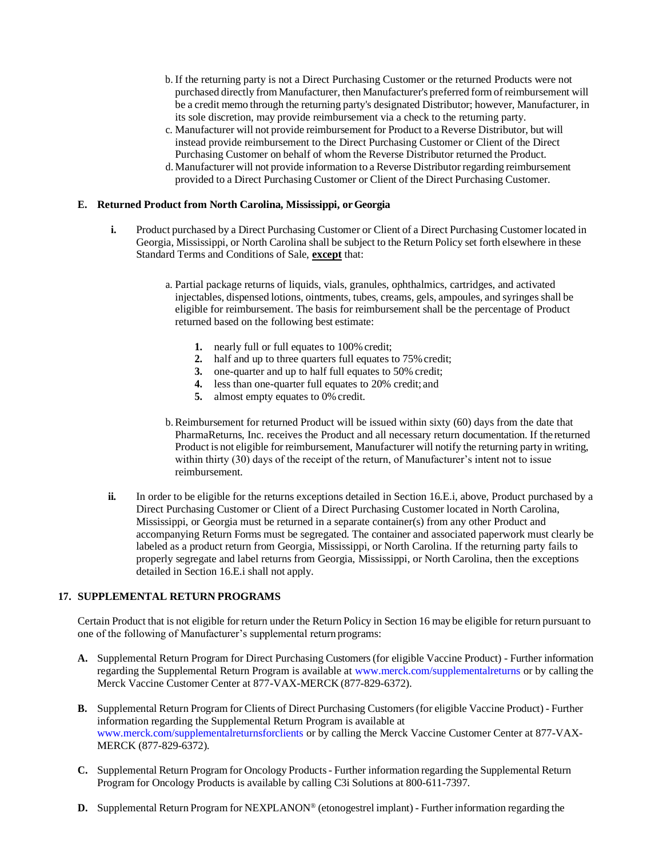- b. If the returning party is not a Direct Purchasing Customer or the returned Products were not purchased directly from Manufacturer, then Manufacturer's preferred formof reimbursement will be a credit memo through the returning party's designated Distributor; however, Manufacturer, in its sole discretion, may provide reimbursement via a check to the returning party.
- c. Manufacturer will not provide reimbursement for Product to a Reverse Distributor, but will instead provide reimbursement to the Direct Purchasing Customer or Client of the Direct Purchasing Customer on behalf of whom the Reverse Distributor returned the Product.
- d. Manufacturer will not provide information to a Reverse Distributor regarding reimbursement provided to a Direct Purchasing Customer or Client of the Direct Purchasing Customer.

## **E. Returned Product from North Carolina, Mississippi, orGeorgia**

- **i.** Product purchased by a Direct Purchasing Customer or Client of a Direct Purchasing Customer located in Georgia, Mississippi, or North Carolina shall be subject to the Return Policy set forth elsewhere in these Standard Terms and Conditions of Sale, **except** that:
	- a. Partial package returns of liquids, vials, granules, ophthalmics, cartridges, and activated injectables, dispensed lotions, ointments, tubes, creams, gels, ampoules, and syringesshall be eligible for reimbursement. The basis for reimbursement shall be the percentage of Product returned based on the following best estimate:
		- **1.** nearly full or full equates to 100% credit;
		- **2.** half and up to three quarters full equates to 75% credit;
		- **3.** one-quarter and up to half full equates to 50% credit;
		- **4.** less than one-quarter full equates to 20% credit; and
		- **5.** almost empty equates to 0% credit.
	- b. Reimbursement for returned Product will be issued within sixty (60) days from the date that PharmaReturns, Inc. receives the Product and all necessary return documentation. If thereturned Product is not eligible for reimbursement, Manufacturer will notify the returning party in writing, within thirty (30) days of the receipt of the return, of Manufacturer's intent not to issue reimbursement.
- **ii.** In order to be eligible for the returns exceptions detailed in Section 16.E.i, above, Product purchased by a Direct Purchasing Customer or Client of a Direct Purchasing Customer located in North Carolina, Mississippi, or Georgia must be returned in a separate container(s) from any other Product and accompanying Return Forms must be segregated. The container and associated paperwork must clearly be labeled as a product return from Georgia, Mississippi, or North Carolina. If the returning party fails to properly segregate and label returns from Georgia, Mississippi, or North Carolina, then the exceptions detailed in Section 16.E.i shall not apply.

### **17. SUPPLEMENTAL RETURN PROGRAMS**

Certain Product that is not eligible for return under the Return Policy in Section 16 may be eligible for return pursuant to one of the following of Manufacturer's supplemental return programs:

- **A.** Supplemental Return Program for Direct Purchasing Customers(for eligible Vaccine Product) Further information regarding the Supplemental Return Program is available at [www.merck.com/supplementalreturns o](https://www.merckvaccines.com/wp-content/uploads/sites/8/2021/04/Supplemental_Returns.pdf)r by calling the Merck Vaccine Customer Center at 877-VAX-MERCK (877-829-6372).
- **B.** Supplemental Return Program for Clients of Direct Purchasing Customers(for eligible Vaccine Product) Further information regarding the Supplemental Return Program is available at [www.merck.com/supplementalreturnsforclients o](http://www.merck.com/supplementalreturnsforclients)r by calling the Merck Vaccine Customer Center at 877-VAX-MERCK (877-829-6372).
- **C.** Supplemental Return Program for Oncology Products- Further information regarding the Supplemental Return Program for Oncology Products is available by calling C3i Solutions at 800-611-7397.
- **D.** Supplemental Return Program for NEXPLANON® (etonogestrel implant) Further information regarding the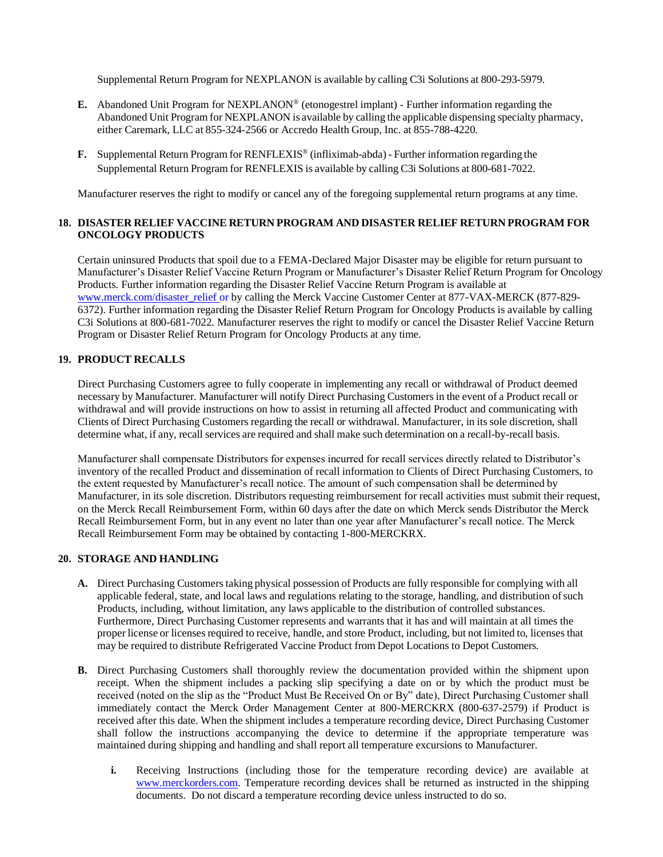Supplemental Return Program for NEXPLANON is available by calling C3i Solutions at 800-293-5979.

- **E.** Abandoned Unit Program for NEXPLANON® (etonogestrel implant) Further information regarding the Abandoned Unit Program for NEXPLANON is available by calling the applicable dispensing specialty pharmacy, either Caremark, LLC at 855-324-2566 or Accredo Health Group, Inc. at 855-788-4220.
- **F.** Supplemental Return Program for RENFLEXIS® (infliximab-abda) Further information regarding the Supplemental Return Program for RENFLEXIS is available by calling C3i Solutions at 800-681-7022.

Manufacturer reserves the right to modify or cancel any of the foregoing supplemental return programs at any time.

# **18. DISASTER RELIEF VACCINE RETURN PROGRAM AND DISASTER RELIEF RETURN PROGRAM FOR ONCOLOGY PRODUCTS**

Certain uninsured Products that spoil due to a FEMA-Declared Major Disaster may be eligible for return pursuant to Manufacturer's Disaster Relief Vaccine Return Program or Manufacturer's Disaster Relief Return Program for Oncology Products. Further information regarding the Disaster Relief Vaccine Return Program is available at [www.merck.com/disaster\\_relief or b](http://www.merck.com/disaster_reliefor)y calling the Merck Vaccine Customer Center at 877-VAX-MERCK (877-829-6372). Further information regarding the Disaster Relief Return Program for Oncology Products is available by calling C3i Solutions at 800-681-7022. Manufacturer reserves the right to modify or cancel the Disaster Relief Vaccine Return Program or Disaster Relief Return Program for Oncology Products at any time.

## **19. PRODUCT RECALLS**

Direct Purchasing Customers agree to fully cooperate in implementing any recall or withdrawal of Product deemed necessary by Manufacturer. Manufacturer will notify Direct Purchasing Customersin the event of a Product recall or withdrawal and will provide instructions on how to assist in returning all affected Product and communicating with Clients of Direct Purchasing Customers regarding the recall or withdrawal. Manufacturer, in its sole discretion, shall determine what, if any, recall services are required and shall make such determination on a recall-by-recall basis.

Manufacturer shall compensate Distributors for expenses incurred for recall services directly related to Distributor's inventory of the recalled Product and dissemination of recall information to Clients of Direct Purchasing Customers, to the extent requested by Manufacturer's recall notice. The amount of such compensation shall be determined by Manufacturer, in its sole discretion. Distributors requesting reimbursement for recall activities must submit their request, on the Merck Recall Reimbursement Form, within 60 days after the date on which Merck sends Distributor the Merck Recall Reimbursement Form, but in any event no later than one year after Manufacturer's recall notice. The Merck Recall Reimbursement Form may be obtained by contacting 1-800-MERCKRX.

## **20. STORAGE AND HANDLING**

- A. Direct Purchasing Customers taking physical possession of Products are fully responsible for complying with all applicable federal, state, and local laws and regulations relating to the storage, handling, and distribution ofsuch Products, including, without limitation, any laws applicable to the distribution of controlled substances. Furthermore, Direct Purchasing Customer represents and warrants that it has and will maintain at all times the proper license or licenses required to receive, handle, and store Product, including, but not limited to, licenses that may be required to distribute Refrigerated Vaccine Product from Depot Locations to Depot Customers.
- **B.** Direct Purchasing Customers shall thoroughly review the documentation provided within the shipment upon receipt. When the shipment includes a packing slip specifying a date on or by which the product must be received (noted on the slip as the "Product Must Be Received On or By" date), Direct Purchasing Customer shall immediately contact the Merck Order Management Center at 800-MERCKRX (800-637-2579) if Product is received after this date. When the shipment includes a temperature recording device, Direct Purchasing Customer shall follow the instructions accompanying the device to determine if the appropriate temperature was maintained during shipping and handling and shall report all temperature excursions to Manufacturer.
	- **i.** Receiving Instructions (including those for the temperature recording device) are available at [www.merckorders.com.](http://www.merckorders.com/) Temperature recording devices shall be returned as instructed in the shipping documents. Do not discard a temperature recording device unless instructed to do so.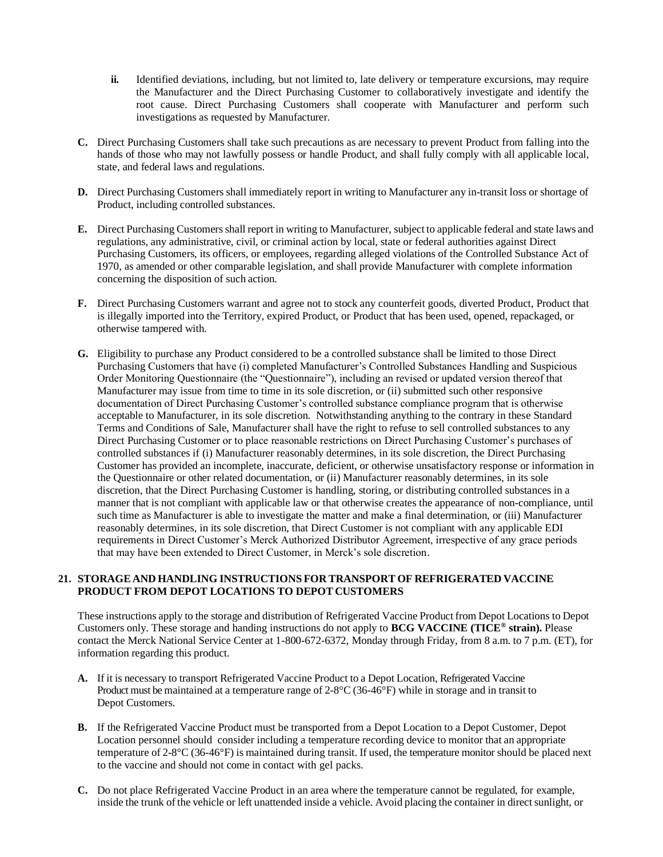- **ii.** Identified deviations, including, but not limited to, late delivery or temperature excursions, may require the Manufacturer and the Direct Purchasing Customer to collaboratively investigate and identify the root cause. Direct Purchasing Customers shall cooperate with Manufacturer and perform such investigations as requested by Manufacturer.
- **C.** Direct Purchasing Customers shall take such precautions as are necessary to prevent Product from falling into the hands of those who may not lawfully possess or handle Product, and shall fully comply with all applicable local, state, and federal laws and regulations.
- **D.** Direct Purchasing Customers shall immediately report in writing to Manufacturer any in-transit loss or shortage of Product, including controlled substances.
- **E.** Direct Purchasing Customersshall report in writing to Manufacturer, subject to applicable federal and state laws and regulations, any administrative, civil, or criminal action by local, state or federal authorities against Direct Purchasing Customers, its officers, or employees, regarding alleged violations of the Controlled Substance Act of 1970, as amended or other comparable legislation, and shall provide Manufacturer with complete information concerning the disposition of such action.
- **F.** Direct Purchasing Customers warrant and agree not to stock any counterfeit goods, diverted Product, Product that is illegally imported into the Territory, expired Product, or Product that has been used, opened, repackaged, or otherwise tampered with.
- **G.** Eligibility to purchase any Product considered to be a controlled substance shall be limited to those Direct Purchasing Customers that have (i) completed Manufacturer's Controlled Substances Handling and Suspicious Order Monitoring Questionnaire (the "Questionnaire"), including an revised or updated version thereof that Manufacturer may issue from time to time in its sole discretion, or (ii) submitted such other responsive documentation of Direct Purchasing Customer's controlled substance compliance program that is otherwise acceptable to Manufacturer, in its sole discretion. Notwithstanding anything to the contrary in these Standard Terms and Conditions of Sale, Manufacturer shall have the right to refuse to sell controlled substances to any Direct Purchasing Customer or to place reasonable restrictions on Direct Purchasing Customer's purchases of controlled substances if (i) Manufacturer reasonably determines, in its sole discretion, the Direct Purchasing Customer has provided an incomplete, inaccurate, deficient, or otherwise unsatisfactory response or information in the Questionnaire or other related documentation, or (ii) Manufacturer reasonably determines, in its sole discretion, that the Direct Purchasing Customer is handling, storing, or distributing controlled substances in a manner that is not compliant with applicable law or that otherwise creates the appearance of non-compliance, until such time as Manufacturer is able to investigate the matter and make a final determination, or (iii) Manufacturer reasonably determines, in its sole discretion, that Direct Customer is not compliant with any applicable EDI requirements in Direct Customer's Merck Authorized Distributor Agreement, irrespective of any grace periods that may have been extended to Direct Customer, in Merck's sole discretion.

## **21. STORAGE AND HANDLING INSTRUCTIONS FOR TRANSPORT OF REFRIGERATED VACCINE PRODUCT FROM DEPOT LOCATIONS TO DEPOT CUSTOMERS**

These instructions apply to the storage and distribution of Refrigerated Vaccine Product from Depot Locations to Depot Customers only. These storage and handing instructions do not apply to **BCG VACCINE (TICE® strain).** Please contact the Merck National Service Center at 1-800-672-6372, Monday through Friday, from 8 a.m. to 7 p.m. (ET), for information regarding this product.

- **A.** If it is necessary to transport Refrigerated Vaccine Product to a Depot Location, Refrigerated Vaccine Product must be maintained at a temperature range of  $2-8^{\circ}C(36-46^{\circ}F)$  while in storage and in transit to Depot Customers.
- **B.** If the Refrigerated Vaccine Product must be transported from a Depot Location to a Depot Customer, Depot Location personnel should consider including a temperature recording device to monitor that an appropriate temperature of 2-8°C (36-46°F) is maintained during transit. If used, the temperature monitor should be placed next to the vaccine and should not come in contact with gel packs.
- **C.** Do not place Refrigerated Vaccine Product in an area where the temperature cannot be regulated, for example, inside the trunk of the vehicle or left unattended inside a vehicle. Avoid placing the container in direct sunlight, or